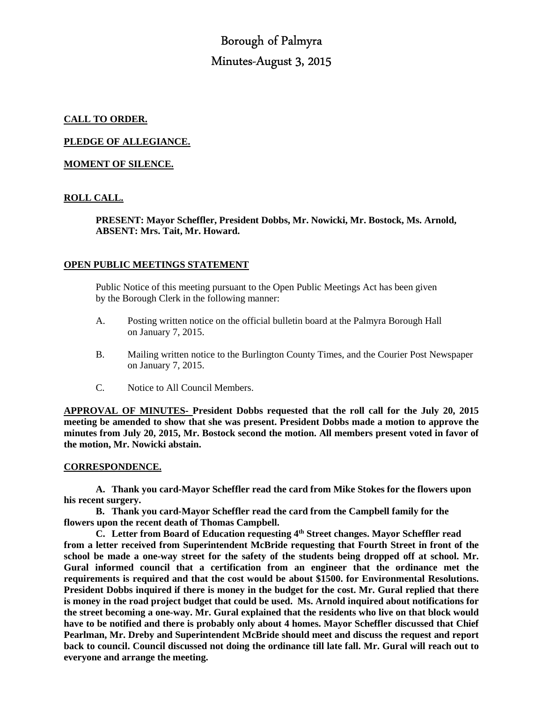# Borough of Palmyra Minutes-August 3, 2015

# **CALL TO ORDER.**

**PLEDGE OF ALLEGIANCE.** 

# **MOMENT OF SILENCE.**

# **ROLL CALL.**

 **PRESENT: Mayor Scheffler, President Dobbs, Mr. Nowicki, Mr. Bostock, Ms. Arnold, ABSENT: Mrs. Tait, Mr. Howard.** 

## **OPEN PUBLIC MEETINGS STATEMENT**

 Public Notice of this meeting pursuant to the Open Public Meetings Act has been given by the Borough Clerk in the following manner:

- A. Posting written notice on the official bulletin board at the Palmyra Borough Hall on January 7, 2015.
- B. Mailing written notice to the Burlington County Times, and the Courier Post Newspaper on January 7, 2015.
- C. Notice to All Council Members.

**APPROVAL OF MINUTES- President Dobbs requested that the roll call for the July 20, 2015 meeting be amended to show that she was present. President Dobbs made a motion to approve the minutes from July 20, 2015, Mr. Bostock second the motion. All members present voted in favor of the motion, Mr. Nowicki abstain.** 

#### **CORRESPONDENCE.**

**A. Thank you card-Mayor Scheffler read the card from Mike Stokes for the flowers upon his recent surgery.** 

**B. Thank you card-Mayor Scheffler read the card from the Campbell family for the flowers upon the recent death of Thomas Campbell.** 

**C. Letter from Board of Education requesting 4th Street changes. Mayor Scheffler read from a letter received from Superintendent McBride requesting that Fourth Street in front of the school be made a one-way street for the safety of the students being dropped off at school. Mr. Gural informed council that a certification from an engineer that the ordinance met the requirements is required and that the cost would be about \$1500. for Environmental Resolutions. President Dobbs inquired if there is money in the budget for the cost. Mr. Gural replied that there is money in the road project budget that could be used. Ms. Arnold inquired about notifications for the street becoming a one-way. Mr. Gural explained that the residents who live on that block would have to be notified and there is probably only about 4 homes. Mayor Scheffler discussed that Chief Pearlman, Mr. Dreby and Superintendent McBride should meet and discuss the request and report back to council. Council discussed not doing the ordinance till late fall. Mr. Gural will reach out to everyone and arrange the meeting.**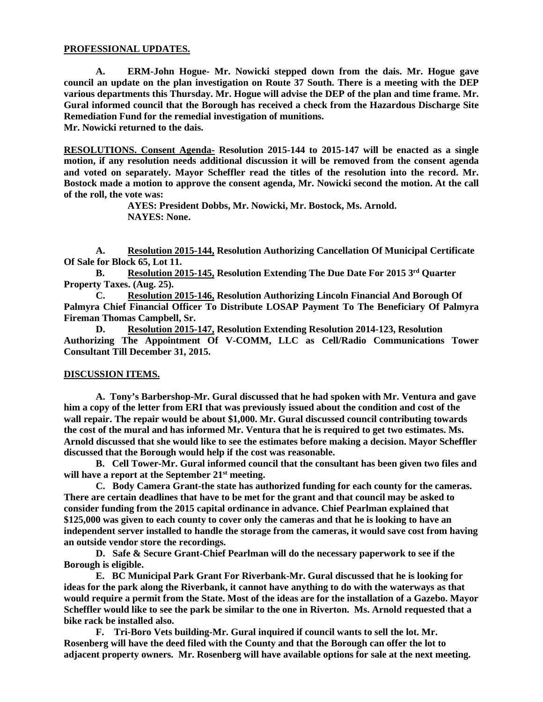## **PROFESSIONAL UPDATES.**

 **A. ERM-John Hogue- Mr. Nowicki stepped down from the dais. Mr. Hogue gave council an update on the plan investigation on Route 37 South. There is a meeting with the DEP various departments this Thursday. Mr. Hogue will advise the DEP of the plan and time frame. Mr. Gural informed council that the Borough has received a check from the Hazardous Discharge Site Remediation Fund for the remedial investigation of munitions.** 

**Mr. Nowicki returned to the dais.** 

**RESOLUTIONS. Consent Agenda- Resolution 2015-144 to 2015-147 will be enacted as a single motion, if any resolution needs additional discussion it will be removed from the consent agenda and voted on separately. Mayor Scheffler read the titles of the resolution into the record. Mr. Bostock made a motion to approve the consent agenda, Mr. Nowicki second the motion. At the call of the roll, the vote was:** 

> **AYES: President Dobbs, Mr. Nowicki, Mr. Bostock, Ms. Arnold. NAYES: None.**

**A. Resolution 2015-144, Resolution Authorizing Cancellation Of Municipal Certificate Of Sale for Block 65, Lot 11.** 

**B. Resolution 2015-145, Resolution Extending The Due Date For 2015 3rd Quarter Property Taxes. (Aug. 25).** 

**C. Resolution 2015-146, Resolution Authorizing Lincoln Financial And Borough Of Palmyra Chief Financial Officer To Distribute LOSAP Payment To The Beneficiary Of Palmyra Fireman Thomas Campbell, Sr.** 

**D. Resolution 2015-147, Resolution Extending Resolution 2014-123, Resolution Authorizing The Appointment Of V-COMM, LLC as Cell/Radio Communications Tower Consultant Till December 31, 2015.** 

#### **DISCUSSION ITEMS.**

 **A. Tony's Barbershop-Mr. Gural discussed that he had spoken with Mr. Ventura and gave him a copy of the letter from ERI that was previously issued about the condition and cost of the wall repair. The repair would be about \$1,000. Mr. Gural discussed council contributing towards the cost of the mural and has informed Mr. Ventura that he is required to get two estimates. Ms. Arnold discussed that she would like to see the estimates before making a decision. Mayor Scheffler discussed that the Borough would help if the cost was reasonable.** 

 **B. Cell Tower-Mr. Gural informed council that the consultant has been given two files and will have a report at the September 21st meeting.** 

 **C. Body Camera Grant-the state has authorized funding for each county for the cameras. There are certain deadlines that have to be met for the grant and that council may be asked to consider funding from the 2015 capital ordinance in advance. Chief Pearlman explained that \$125,000 was given to each county to cover only the cameras and that he is looking to have an independent server installed to handle the storage from the cameras, it would save cost from having an outside vendor store the recordings.** 

 **D. Safe & Secure Grant-Chief Pearlman will do the necessary paperwork to see if the Borough is eligible.** 

 **E. BC Municipal Park Grant For Riverbank-Mr. Gural discussed that he is looking for ideas for the park along the Riverbank, it cannot have anything to do with the waterways as that would require a permit from the State. Most of the ideas are for the installation of a Gazebo. Mayor Scheffler would like to see the park be similar to the one in Riverton. Ms. Arnold requested that a bike rack be installed also.** 

 **F. Tri-Boro Vets building-Mr. Gural inquired if council wants to sell the lot. Mr. Rosenberg will have the deed filed with the County and that the Borough can offer the lot to adjacent property owners. Mr. Rosenberg will have available options for sale at the next meeting.**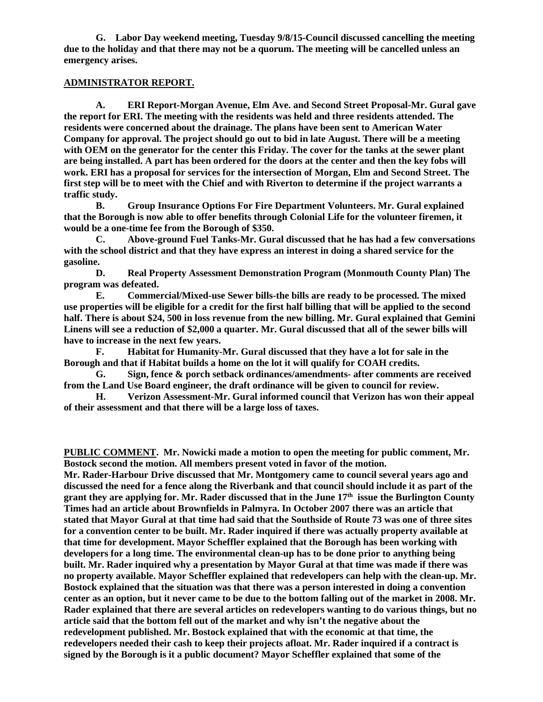**G. Labor Day weekend meeting, Tuesday 9/8/15-Council discussed cancelling the meeting due to the holiday and that there may not be a quorum. The meeting will be cancelled unless an emergency arises.** 

# **ADMINISTRATOR REPORT.**

 **A. ERI Report-Morgan Avenue, Elm Ave. and Second Street Proposal-Mr. Gural gave the report for ERI. The meeting with the residents was held and three residents attended. The residents were concerned about the drainage. The plans have been sent to American Water Company for approval. The project should go out to bid in late August. There will be a meeting with OEM on the generator for the center this Friday. The cover for the tanks at the sewer plant are being installed. A part has been ordered for the doors at the center and then the key fobs will work. ERI has a proposal for services for the intersection of Morgan, Elm and Second Street. The first step will be to meet with the Chief and with Riverton to determine if the project warrants a traffic study.** 

 **B. Group Insurance Options For Fire Department Volunteers. Mr. Gural explained that the Borough is now able to offer benefits through Colonial Life for the volunteer firemen, it would be a one-time fee from the Borough of \$350.** 

 **C. Above-ground Fuel Tanks-Mr. Gural discussed that he has had a few conversations with the school district and that they have express an interest in doing a shared service for the gasoline.** 

 **D. Real Property Assessment Demonstration Program (Monmouth County Plan) The program was defeated.** 

 **E. Commercial/Mixed-use Sewer bills-the bills are ready to be processed. The mixed use properties will be eligible for a credit for the first half billing that will be applied to the second half. There is about \$24, 500 in loss revenue from the new billing. Mr. Gural explained that Gemini Linens will see a reduction of \$2,000 a quarter. Mr. Gural discussed that all of the sewer bills will have to increase in the next few years.** 

 **F. Habitat for Humanity-Mr. Gural discussed that they have a lot for sale in the Borough and that if Habitat builds a home on the lot it will qualify for COAH credits.** 

 **G. Sign, fence & porch setback ordinances/amendments- after comments are received from the Land Use Board engineer, the draft ordinance will be given to council for review.** 

 **H. Verizon Assessment-Mr. Gural informed council that Verizon has won their appeal of their assessment and that there will be a large loss of taxes.** 

**PUBLIC COMMENT. Mr. Nowicki made a motion to open the meeting for public comment, Mr. Bostock second the motion. All members present voted in favor of the motion.** 

**Mr. Rader-Harbour Drive discussed that Mr. Montgomery came to council several years ago and discussed the need for a fence along the Riverbank and that council should include it as part of the grant they are applying for. Mr. Rader discussed that in the June 17th issue the Burlington County Times had an article about Brownfields in Palmyra. In October 2007 there was an article that stated that Mayor Gural at that time had said that the Southside of Route 73 was one of three sites for a convention center to be built. Mr. Rader inquired if there was actually property available at that time for development. Mayor Scheffler explained that the Borough has been working with developers for a long time. The environmental clean-up has to be done prior to anything being built. Mr. Rader inquired why a presentation by Mayor Gural at that time was made if there was no property available. Mayor Scheffler explained that redevelopers can help with the clean-up. Mr. Bostock explained that the situation was that there was a person interested in doing a convention center as an option, but it never came to be due to the bottom falling out of the market in 2008. Mr. Rader explained that there are several articles on redevelopers wanting to do various things, but no article said that the bottom fell out of the market and why isn't the negative about the redevelopment published. Mr. Bostock explained that with the economic at that time, the redevelopers needed their cash to keep their projects afloat. Mr. Rader inquired if a contract is signed by the Borough is it a public document? Mayor Scheffler explained that some of the**